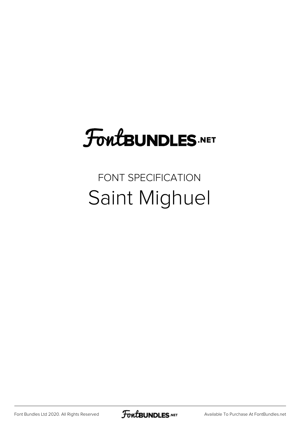## FoutBUNDLES.NET

## FONT SPECIFICATION Saint Mighuel

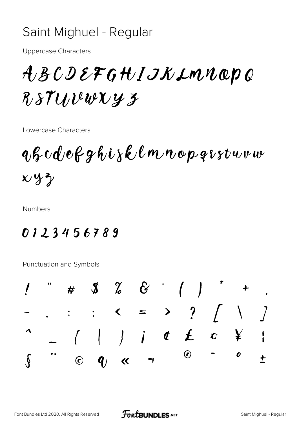## Saint Mighuel - Regular

**Uppercase Characters** 

ABCDEFGHIJKIMNOPQ RSTUVewXy3

Lowercase Characters

 $q\beta c d e \beta g h i \gamma \ell \ell m n o p q \iota s t w v w$  $x y y$ 

**Numbers** 

## 0123456789

Punctuation and Symbols

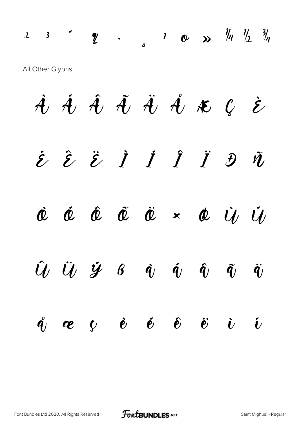$2$   $3$   $\frac{1}{2}$   $\frac{1}{2}$   $\frac{1}{2}$   $\frac{1}{4}$   $\frac{1}{2}$   $\frac{3}{4}$ All Other Glyphs

À Á Â Ã Ä Å Æ Ç È  $\hat{z}$   $\hat{z}$   $\hat{z}$   $\hat{I}$   $\hat{I}$   $\hat{I}$   $\hat{J}$   $\hat{v}$ Ò Ó Ô Õ Ö × Ø Ù Ú  $\hat{U}$   $\ddot{U}$   $\dot{Y}$   $\beta$   $\dot{q}$   $\dot{q}$   $\dot{q}$   $\ddot{q}$   $\ddot{q}$   $\ddot{q}$  $\hat{q}_j$  æ  $\psi$  è é  $\hat{e}$  ë  $\ddot{\epsilon}$  i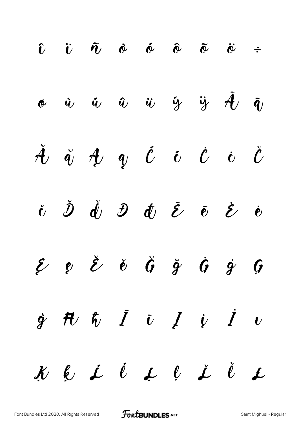$$
\begin{array}{ccccccccccccccc}\n & \hat{v} & \hat{v} & \hat{\alpha} & \hat{\alpha} & \hat{\alpha} & \hat{\alpha} & \hat{\alpha} & \hat{\alpha} & \hat{\alpha} & \hat{\alpha} \\
& \phi & \hat{v} & \hat{u} & \hat{u} & \hat{u} & \hat{y} & \hat{y} & \hat{d} & \hat{u} \\
& \check{d} & \check{d} & \check{d} & \check{q} & \check{q} & \check{q} & \check{q} & \check{q} & \check{q} & \check{q} & \check{q} \\
& \check{e} & \check{e} & \check{d} & \check{e} & \check{e} & \check{e} & \check{e} & \check{e} & \check{e} & \check{e} & \check{e} & \check{e} \\
& \check{e} & \check{e} & \check{e} & \check{e} & \check{e} & \check{e} & \check{e} & \check{e} & \check{e} & \check{e} & \check{e} & \check{e} & \check{e} \\
& \check{f} & \check{f} & \check{f} & \check{f} & \check{f} & \check{f} & \check{f} & \check{f} & \check{f} & \check{f} & \check{f} & \check{f} & \check{f} & \check{f} & \check{f} & \check{f} & \check{f} & \check{f} & \check{f} & \check{f} & \check{f} & \check{f} & \check{f} & \check{f} & \check{f} & \check{f} & \check{f} & \check{f} & \check{f} & \check{f} & \check{f} & \check{f} & \check{f} & \check{f} & \check{f} & \check{f} & \check{f} & \check{f} & \check{f} & \check{f} & \check{f} & \check{f} & \check{f} & \check{f} & \check{f} & \check{f} & \check{f} & \check{f} & \check{f} & \check{f} & \check{f} & \check{f} & \check{f} & \check{f} & \check{f} & \check{f} & \check{f} & \check{f} & \check{f} & \check{f} & \check{f} & \check{f} & \check{f} & \check{f} & \check{f} & \check{f} & \check{f} & \check{f} & \check{f} & \check
$$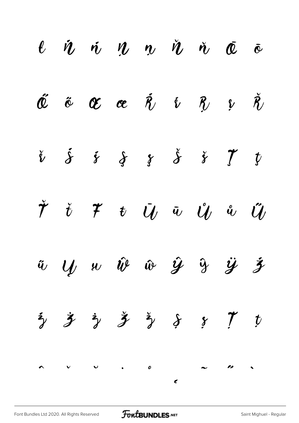|  |  | $\ell$ $\dot{n}$ $\dot{n}$ $\dot{n}$ $\dot{n}$ $\dot{n}$ $\dot{\bar{\alpha}}$ $\dot{\bar{\alpha}}$                                                                      |  |  |
|--|--|-------------------------------------------------------------------------------------------------------------------------------------------------------------------------|--|--|
|  |  | $\check{\mathfrak{C}}$ $\tilde{\mathfrak{C}}$ $\mathfrak{C}$ $\mathfrak{C}$ $\check{\mathfrak{R}}$ $\check{\mathfrak{C}}$ $\check{\mathfrak{R}}$ $\check{\mathfrak{R}}$ |  |  |
|  |  | $\dot{v}$ $\dot{s}$ $\dot{s}$ $\dot{s}$ $\dot{s}$ $\dot{s}$ $\dot{y}$ $\dot{y}$                                                                                         |  |  |
|  |  | $\check{\mathcal{T}}$ $\check{t}$ $\mathcal{T}$ $\mathcal{U}$ $\check{u}$ $\mathcal{U}$ $\mathcal{U}$ $\mathcal{U}$                                                     |  |  |
|  |  | $\ddot{u}$ $\dot{y}$ $\dot{w}$ $\dot{w}$ $\dot{y}$ $\ddot{y}$ $\ddot{y}$ $\ddot{z}$                                                                                     |  |  |
|  |  | $\frac{1}{2}$ $\frac{1}{2}$ $\frac{1}{2}$ $\frac{1}{2}$ $\frac{1}{2}$ $\frac{1}{2}$ $\frac{1}{2}$ $\frac{1}{2}$ $\frac{1}{2}$ $\frac{1}{2}$ $\frac{1}{2}$ $\frac{1}{2}$ |  |  |
|  |  |                                                                                                                                                                         |  |  |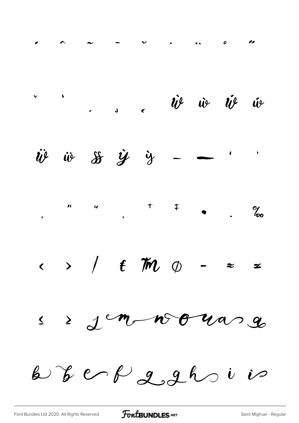